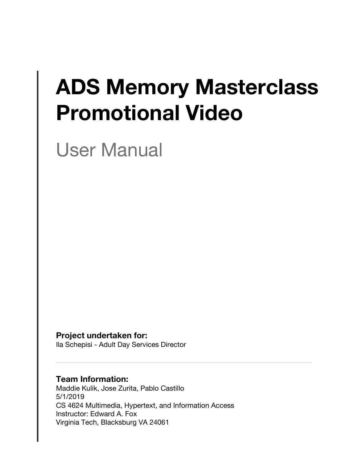# **ADS Memory Masterclass Promotional Video**

User Manual

**Project undertaken for:**

Ila Schepisi - Adult Day Services Director

#### **Team Information:**

Maddie Kulik, Jose Zurita, Pablo Castillo 5/1/2019 CS 4624 Multimedia, Hypertext, and Information Access Instructor: Edward A. Fox Virginia Tech, Blacksburg VA 24061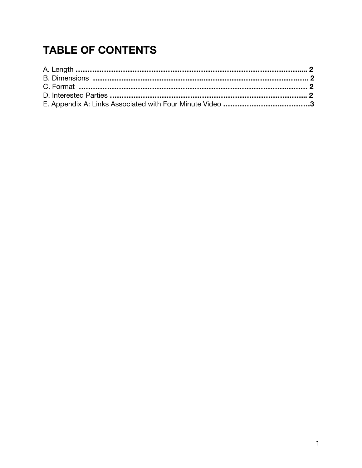## **TABLE OF CONTENTS**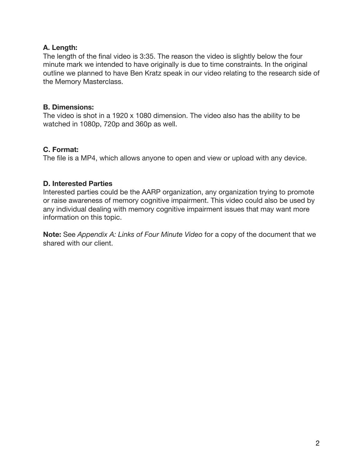#### **A. Length:**

The length of the final video is 3:35. The reason the video is slightly below the four minute mark we intended to have originally is due to time constraints. In the original outline we planned to have Ben Kratz speak in our video relating to the research side of the Memory Masterclass.

#### **B. Dimensions:**

The video is shot in a 1920 x 1080 dimension. The video also has the ability to be watched in 1080p, 720p and 360p as well.

#### **C. Format:**

The file is a MP4, which allows anyone to open and view or upload with any device.

#### **D. Interested Parties**

Interested parties could be the AARP organization, any organization trying to promote or raise awareness of memory cognitive impairment. This video could also be used by any individual dealing with memory cognitive impairment issues that may want more information on this topic.

**Note:** See *Appendix A: Links of Four Minute Video* for a copy of the document that we shared with our client.